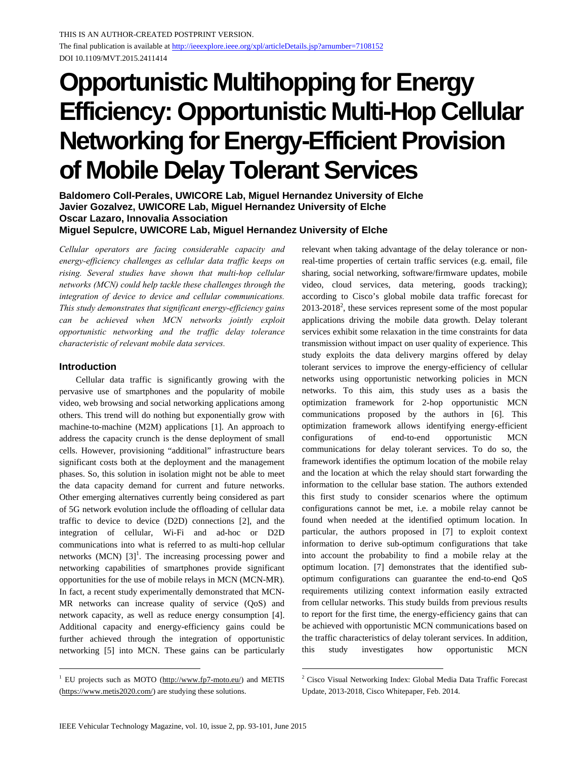# **Opportunistic Multihopping for Energy Efficiency: Opportunistic Multi-Hop Cellular Networking for Energy-Efficient Provision of Mobile Delay Tolerant Services**

**Baldomero Coll-Perales, UWICORE Lab, Miguel Hernandez University of Elche Javier Gozalvez, UWICORE Lab, Miguel Hernandez University of Elche Oscar Lazaro, Innovalia Association** 

**Miguel Sepulcre, UWICORE Lab, Miguel Hernandez University of Elche** 

*Cellular operators are facing considerable capacity and energy-efficiency challenges as cellular data traffic keeps on rising. Several studies have shown that multi-hop cellular networks (MCN) could help tackle these challenges through the integration of device to device and cellular communications. This study demonstrates that significant energy-efficiency gains can be achieved when MCN networks jointly exploit opportunistic networking and the traffic delay tolerance characteristic of relevant mobile data services.* 

## **Introduction**

1

Cellular data traffic is significantly growing with the pervasive use of smartphones and the popularity of mobile video, web browsing and social networking applications among others. This trend will do nothing but exponentially grow with machine-to-machine (M2M) applications [1]. An approach to address the capacity crunch is the dense deployment of small cells. However, provisioning "additional" infrastructure bears significant costs both at the deployment and the management phases. So, this solution in isolation might not be able to meet the data capacity demand for current and future networks. Other emerging alternatives currently being considered as part of 5G network evolution include the offloading of cellular data traffic to device to device (D2D) connections [2], and the integration of cellular, Wi-Fi and ad-hoc or D2D communications into what is referred to as multi-hop cellular networks (MCN)  $[3]$ <sup>1</sup>. The increasing processing power and networking capabilities of smartphones provide significant opportunities for the use of mobile relays in MCN (MCN-MR). In fact, a recent study experimentally demonstrated that MCN-MR networks can increase quality of service (QoS) and network capacity, as well as reduce energy consumption [4]. Additional capacity and energy-efficiency gains could be further achieved through the integration of opportunistic networking [5] into MCN. These gains can be particularly

<sup>1</sup> EU projects such as MOTO (http://www.fp7-moto.eu/) and METIS (https://www.metis2020.com/) are studying these solutions.

relevant when taking advantage of the delay tolerance or nonreal-time properties of certain traffic services (e.g. email, file sharing, social networking, software/firmware updates, mobile video, cloud services, data metering, goods tracking); according to Cisco's global mobile data traffic forecast for  $2013-2018^2$ , these services represent some of the most popular applications driving the mobile data growth. Delay tolerant services exhibit some relaxation in the time constraints for data transmission without impact on user quality of experience. This study exploits the data delivery margins offered by delay tolerant services to improve the energy-efficiency of cellular networks using opportunistic networking policies in MCN networks. To this aim, this study uses as a basis the optimization framework for 2-hop opportunistic MCN communications proposed by the authors in [6]. This optimization framework allows identifying energy-efficient configurations of end-to-end opportunistic MCN communications for delay tolerant services. To do so, the framework identifies the optimum location of the mobile relay and the location at which the relay should start forwarding the information to the cellular base station. The authors extended this first study to consider scenarios where the optimum configurations cannot be met, i.e. a mobile relay cannot be found when needed at the identified optimum location. In particular, the authors proposed in [7] to exploit context information to derive sub-optimum configurations that take into account the probability to find a mobile relay at the optimum location. [7] demonstrates that the identified suboptimum configurations can guarantee the end-to-end QoS requirements utilizing context information easily extracted from cellular networks. This study builds from previous results to report for the first time, the energy-efficiency gains that can be achieved with opportunistic MCN communications based on the traffic characteristics of delay tolerant services. In addition, this study investigates how opportunistic MCN

<sup>&</sup>lt;sup>2</sup> Cisco Visual Networking Index: Global Media Data Traffic Forecast Update, 2013-2018, Cisco Whitepaper, Feb. 2014.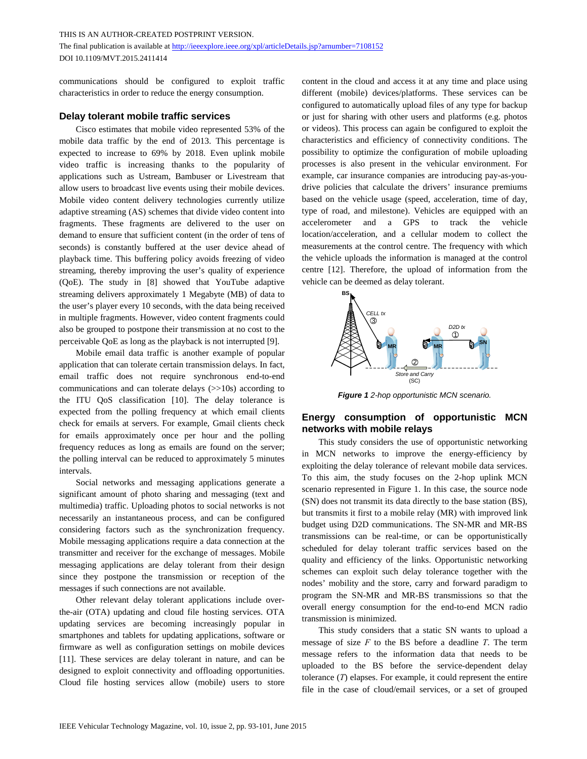communications should be configured to exploit traffic characteristics in order to reduce the energy consumption.

## **Delay tolerant mobile traffic services**

Cisco estimates that mobile video represented 53% of the mobile data traffic by the end of 2013. This percentage is expected to increase to 69% by 2018. Even uplink mobile video traffic is increasing thanks to the popularity of applications such as Ustream, Bambuser or Livestream that allow users to broadcast live events using their mobile devices. Mobile video content delivery technologies currently utilize adaptive streaming (AS) schemes that divide video content into fragments. These fragments are delivered to the user on demand to ensure that sufficient content (in the order of tens of seconds) is constantly buffered at the user device ahead of playback time. This buffering policy avoids freezing of video streaming, thereby improving the user's quality of experience (QoE). The study in [8] showed that YouTube adaptive streaming delivers approximately 1 Megabyte (MB) of data to the user's player every 10 seconds, with the data being received in multiple fragments. However, video content fragments could also be grouped to postpone their transmission at no cost to the perceivable QoE as long as the playback is not interrupted [9].

Mobile email data traffic is another example of popular application that can tolerate certain transmission delays. In fact, email traffic does not require synchronous end-to-end communications and can tolerate delays (>>10s) according to the ITU QoS classification [10]. The delay tolerance is expected from the polling frequency at which email clients check for emails at servers. For example, Gmail clients check for emails approximately once per hour and the polling frequency reduces as long as emails are found on the server; the polling interval can be reduced to approximately 5 minutes intervals.

Social networks and messaging applications generate a significant amount of photo sharing and messaging (text and multimedia) traffic. Uploading photos to social networks is not necessarily an instantaneous process, and can be configured considering factors such as the synchronization frequency. Mobile messaging applications require a data connection at the transmitter and receiver for the exchange of messages. Mobile messaging applications are delay tolerant from their design since they postpone the transmission or reception of the messages if such connections are not available.

Other relevant delay tolerant applications include overthe-air (OTA) updating and cloud file hosting services. OTA updating services are becoming increasingly popular in smartphones and tablets for updating applications, software or firmware as well as configuration settings on mobile devices [11]. These services are delay tolerant in nature, and can be designed to exploit connectivity and offloading opportunities. Cloud file hosting services allow (mobile) users to store content in the cloud and access it at any time and place using different (mobile) devices/platforms. These services can be configured to automatically upload files of any type for backup or just for sharing with other users and platforms (e.g. photos or videos). This process can again be configured to exploit the characteristics and efficiency of connectivity conditions. The possibility to optimize the configuration of mobile uploading processes is also present in the vehicular environment. For example, car insurance companies are introducing pay-as-youdrive policies that calculate the drivers' insurance premiums based on the vehicle usage (speed, acceleration, time of day, type of road, and milestone). Vehicles are equipped with an accelerometer and a GPS to track the vehicle location/acceleration, and a cellular modem to collect the measurements at the control centre. The frequency with which the vehicle uploads the information is managed at the control centre [12]. Therefore, the upload of information from the vehicle can be deemed as delay tolerant.



*Figure 1 2-hop opportunistic MCN scenario.* 

# **Energy consumption of opportunistic MCN networks with mobile relays**

This study considers the use of opportunistic networking in MCN networks to improve the energy-efficiency by exploiting the delay tolerance of relevant mobile data services. To this aim, the study focuses on the 2-hop uplink MCN scenario represented in Figure 1. In this case, the source node (SN) does not transmit its data directly to the base station (BS), but transmits it first to a mobile relay (MR) with improved link budget using D2D communications. The SN-MR and MR-BS transmissions can be real-time, or can be opportunistically scheduled for delay tolerant traffic services based on the quality and efficiency of the links. Opportunistic networking schemes can exploit such delay tolerance together with the nodes' mobility and the store, carry and forward paradigm to program the SN-MR and MR-BS transmissions so that the overall energy consumption for the end-to-end MCN radio transmission is minimized.

This study considers that a static SN wants to upload a message of size *F* to the BS before a deadline *T*. The term message refers to the information data that needs to be uploaded to the BS before the service-dependent delay tolerance (*T*) elapses. For example, it could represent the entire file in the case of cloud/email services, or a set of grouped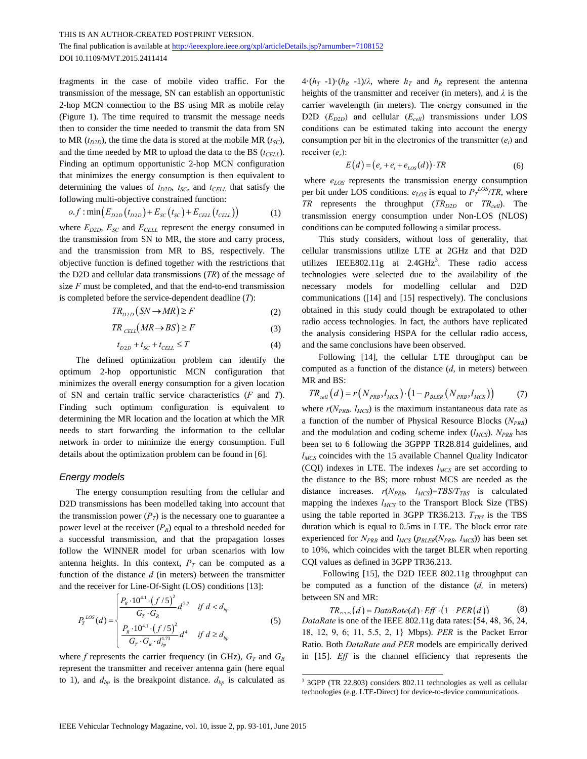THIS IS AN AUTHOR-CREATED POSTPRINT VERSION.

The final publication is available at http://ieeexplore.ieee.org/xpl/articleDetails.jsp?arnumber=7108152 DOI 10.1109/MVT.2015.2411414

fragments in the case of mobile video traffic. For the transmission of the message, SN can establish an opportunistic 2-hop MCN connection to the BS using MR as mobile relay (Figure 1). The time required to transmit the message needs then to consider the time needed to transmit the data from SN to MR  $(t_{D2D})$ , the time the data is stored at the mobile MR  $(t_{SC})$ , and the time needed by MR to upload the data to the BS ( $t_{\text{CEL}}$ ). Finding an optimum opportunistic 2-hop MCN configuration that minimizes the energy consumption is then equivalent to determining the values of  $t_{D2D}$ ,  $t_{SC}$ , and  $t_{CELL}$  that satisfy the following multi-objective constrained function:

$$
o.f : \min(E_{D2D}(t_{D2D}) + E_{SC}(t_{SC}) + E_{CELL}(t_{CELL}))
$$
 (1)

where  $E_{D2D}$ ,  $E_{SC}$  and  $E_{CELL}$  represent the energy consumed in the transmission from SN to MR, the store and carry process, and the transmission from MR to BS, respectively. The objective function is defined together with the restrictions that the D2D and cellular data transmissions (*TR*) of the message of size *F* must be completed, and that the end-to-end transmission is completed before the service-dependent deadline (*T*):

$$
TR_{D2D} (SN \to MR) \ge F \tag{2}
$$

$$
TR_{\text{CELL}}(MR \to BS) \ge F \tag{3}
$$

$$
t_{D2D} + t_{SC} + t_{CELL} \le T \tag{4}
$$

The defined optimization problem can identify the optimum 2-hop opportunistic MCN configuration that minimizes the overall energy consumption for a given location of SN and certain traffic service characteristics (*F* and *T*). Finding such optimum configuration is equivalent to determining the MR location and the location at which the MR needs to start forwarding the information to the cellular network in order to minimize the energy consumption. Full details about the optimization problem can be found in [6].

## *Energy models*

The energy consumption resulting from the cellular and D2D transmissions has been modelled taking into account that the transmission power  $(P_T)$  is the necessary one to guarantee a power level at the receiver  $(P_R)$  equal to a threshold needed for a successful transmission, and that the propagation losses follow the WINNER model for urban scenarios with low antenna heights. In this context,  $P_T$  can be computed as a function of the distance *d* (in meters) between the transmitter and the receiver for Line-Of-Sight (LOS) conditions [13]:

$$
P_{T}^{LOS}(d) = \begin{cases} \frac{P_{R} \cdot 10^{4.1} \cdot (f/5)^{2}}{G_{T} \cdot G_{R}} d^{2.7} & \text{if } d < d_{bp} \\ \frac{P_{R} \cdot 10^{4.1} \cdot (f/5)^{2}}{G_{T} \cdot G_{R} \cdot d_{bp}^{1.73}} d^{4} & \text{if } d \ge d_{bp} \end{cases}
$$
(5)

where  $f$  represents the carrier frequency (in GHz),  $G_T$  and  $G_R$ represent the transmitter and receiver antenna gain (here equal to 1), and  $d_{bp}$  is the breakpoint distance.  $d_{bp}$  is calculated as  $4 \cdot (h_T - 1) \cdot (h_R - 1)/\lambda$ , where  $h_T$  and  $h_R$  represent the antenna heights of the transmitter and receiver (in meters), and *λ* is the carrier wavelength (in meters). The energy consumed in the D2D  $(E_{D2D})$  and cellular  $(E_{cell})$  transmissions under LOS conditions can be estimated taking into account the energy consumption per bit in the electronics of the transmitter  $(e_t)$  and receiver (*er*):

$$
E(d) = (e_r + e_t + e_{LOS}(d)) \cdot TR \tag{6}
$$

where  $e_{LOS}$  represents the transmission energy consumption per bit under LOS conditions.  $e_{LOS}$  is equal to  $P_T^{LOS}/TR$ , where *TR* represents the throughput  $(TR_{D2D}$  or  $TR_{cell}$ ). The transmission energy consumption under Non-LOS (NLOS) conditions can be computed following a similar process.

This study considers, without loss of generality, that cellular transmissions utilize LTE at 2GHz and that D2D utilizes IEEE802.11g at  $2.4 \text{GHz}^3$ . These radio access technologies were selected due to the availability of the necessary models for modelling cellular and D2D communications ([14] and [15] respectively). The conclusions obtained in this study could though be extrapolated to other radio access technologies. In fact, the authors have replicated the analysis considering HSPA for the cellular radio access, and the same conclusions have been observed.

Following [14], the cellular LTE throughput can be computed as a function of the distance (*d*, in meters) between MR and BS:

$$
TR_{cell}(d) = r(N_{PRB}, l_{MCS}) \cdot (1 - p_{BLER}(N_{PRB}, l_{MCS})) \tag{7}
$$

where  $r(N_{PRB}, l_{MCS})$  is the maximum instantaneous data rate as a function of the number of Physical Resource Blocks (*NPRB*) and the modulation and coding scheme index  $(l_{MCS})$ .  $N_{PRB}$  has been set to 6 following the 3GPPP TR28.814 guidelines, and *l<sub>MCS</sub>* coincides with the 15 available Channel Quality Indicator (CQI) indexes in LTE. The indexes  $l_{MCS}$  are set according to the distance to the BS; more robust MCS are needed as the distance increases.  $r(N_{PRB}, l_{MCS}) = TBS/T_{TBS}$  is calculated mapping the indexes  $l_{MCS}$  to the Transport Block Size (TBS) using the table reported in 3GPP TR36.213.  $T_{TBS}$  is the TBS duration which is equal to 0.5ms in LTE. The block error rate experienced for  $N_{PRB}$  and  $l_{MCS}$  ( $p_{BLER}(N_{PRB}, l_{MCS})$ ) has been set to 10%, which coincides with the target BLER when reporting CQI values as defined in 3GPP TR36.213.

Following [15], the D2D IEEE 802.11g throughput can be computed as a function of the distance (*d,* in meters) between SN and MR:

 $TR_{n \times n}(d) = DataRate(d) \cdot Eff \cdot (1 - PER(d))$  (8) *DataRate* is one of the IEEE 802.11g data rates:{54, 48, 36, 24, 18, 12, 9, 6; 11, 5.5, 2, 1} Mbps). *PER* is the Packet Error Ratio. Both *DataRate and PER* models are empirically derived in [15]. *Eff* is the channel efficiency that represents the

<sup>&</sup>lt;sup>3</sup> 3GPP (TR 22.803) considers 802.11 technologies as well as cellular technologies (e.g. LTE-Direct) for device-to-device communications.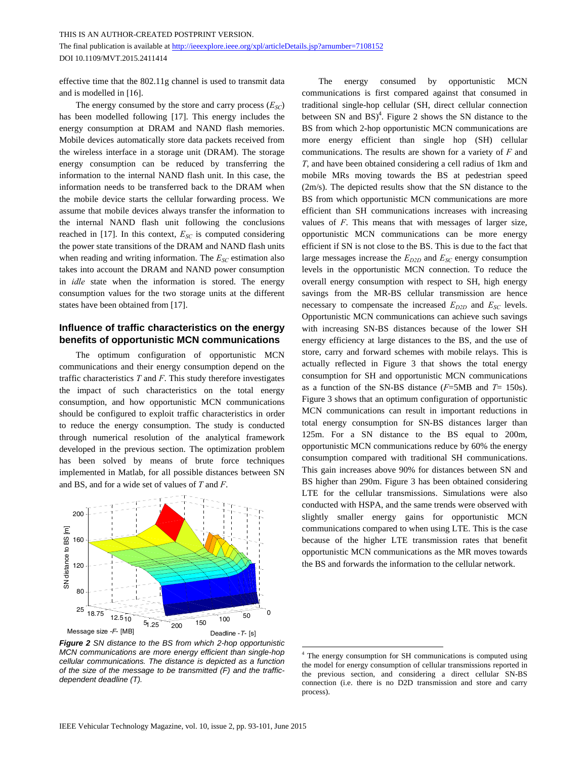THIS IS AN AUTHOR-CREATED POSTPRINT VERSION. The final publication is available at http://ieeexplore.ieee.org/xpl/articleDetails.jsp?arnumber=7108152 DOI 10.1109/MVT.2015.2411414

effective time that the 802.11g channel is used to transmit data and is modelled in [16].

The energy consumed by the store and carry process  $(E_{SC})$ has been modelled following [17]. This energy includes the energy consumption at DRAM and NAND flash memories. Mobile devices automatically store data packets received from the wireless interface in a storage unit (DRAM). The storage energy consumption can be reduced by transferring the information to the internal NAND flash unit. In this case, the information needs to be transferred back to the DRAM when the mobile device starts the cellular forwarding process. We assume that mobile devices always transfer the information to the internal NAND flash unit following the conclusions reached in [17]. In this context,  $E_{SC}$  is computed considering the power state transitions of the DRAM and NAND flash units when reading and writing information. The  $E_{SC}$  estimation also takes into account the DRAM and NAND power consumption in *idle* state when the information is stored. The energy consumption values for the two storage units at the different states have been obtained from [17].

# **Influence of traffic characteristics on the energy benefits of opportunistic MCN communications**

The optimum configuration of opportunistic MCN communications and their energy consumption depend on the traffic characteristics *T* and *F*. This study therefore investigates the impact of such characteristics on the total energy consumption, and how opportunistic MCN communications should be configured to exploit traffic characteristics in order to reduce the energy consumption. The study is conducted through numerical resolution of the analytical framework developed in the previous section. The optimization problem has been solved by means of brute force techniques implemented in Matlab, for all possible distances between SN and BS, and for a wide set of values of *T* and *F*.



*Figure 2 SN distance to the BS from which 2-hop opportunistic MCN communications are more energy efficient than single-hop cellular communications. The distance is depicted as a function of the size of the message to be transmitted (F) and the trafficdependent deadline (T).* 

The energy consumed by opportunistic MCN communications is first compared against that consumed in traditional single-hop cellular (SH, direct cellular connection between SN and  $BS)^4$ . Figure 2 shows the SN distance to the BS from which 2-hop opportunistic MCN communications are more energy efficient than single hop (SH) cellular communications. The results are shown for a variety of *F* and *T*, and have been obtained considering a cell radius of 1km and mobile MRs moving towards the BS at pedestrian speed (2m/s). The depicted results show that the SN distance to the BS from which opportunistic MCN communications are more efficient than SH communications increases with increasing values of *F*. This means that with messages of larger size, opportunistic MCN communications can be more energy efficient if SN is not close to the BS. This is due to the fact that large messages increase the  $E_{D2D}$  and  $E_{SC}$  energy consumption levels in the opportunistic MCN connection. To reduce the overall energy consumption with respect to SH, high energy savings from the MR-BS cellular transmission are hence necessary to compensate the increased  $E_{D2D}$  and  $E_{SC}$  levels. Opportunistic MCN communications can achieve such savings with increasing SN-BS distances because of the lower SH energy efficiency at large distances to the BS, and the use of store, carry and forward schemes with mobile relays. This is actually reflected in Figure 3 that shows the total energy consumption for SH and opportunistic MCN communications as a function of the SN-BS distance (*F*=5MB and *T*= 150s). Figure 3 shows that an optimum configuration of opportunistic MCN communications can result in important reductions in total energy consumption for SN-BS distances larger than 125m. For a SN distance to the BS equal to 200m, opportunistic MCN communications reduce by 60% the energy consumption compared with traditional SH communications. This gain increases above 90% for distances between SN and BS higher than 290m. Figure 3 has been obtained considering LTE for the cellular transmissions. Simulations were also conducted with HSPA, and the same trends were observed with slightly smaller energy gains for opportunistic MCN communications compared to when using LTE. This is the case because of the higher LTE transmission rates that benefit opportunistic MCN communications as the MR moves towards the BS and forwards the information to the cellular network.

<sup>4</sup> The energy consumption for SH communications is computed using the model for energy consumption of cellular transmissions reported in the previous section, and considering a direct cellular SN-BS connection (i.e. there is no D2D transmission and store and carry process).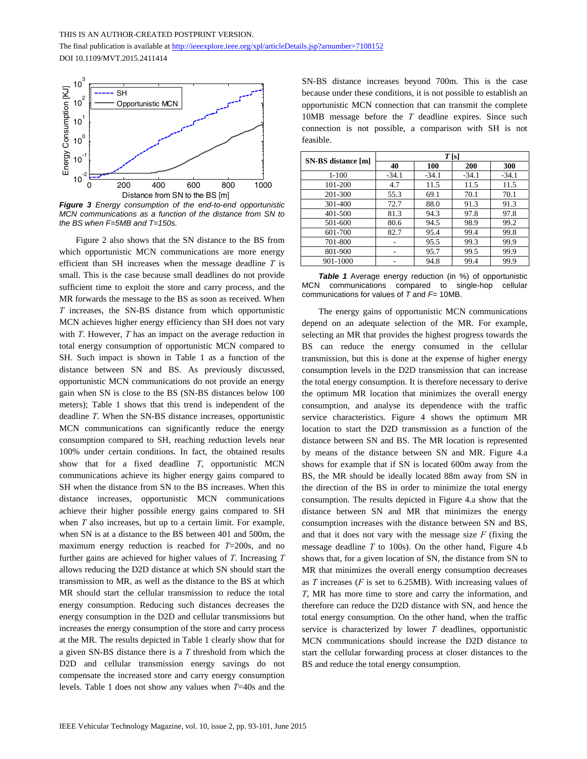The final publication is available at http://ieeexplore.ieee.org/xpl/articleDetails.jsp?arnumber=7108152 DOI 10.1109/MVT.2015.2411414



*Figure 3 Energy consumption of the end-to-end opportunistic MCN communications as a function of the distance from SN to the BS when F=5MB and T=150s.* 

Figure 2 also shows that the SN distance to the BS from which opportunistic MCN communications are more energy efficient than SH increases when the message deadline *T* is small. This is the case because small deadlines do not provide sufficient time to exploit the store and carry process, and the MR forwards the message to the BS as soon as received. When *T* increases, the SN-BS distance from which opportunistic MCN achieves higher energy efficiency than SH does not vary with *T*. However, *T* has an impact on the average reduction in total energy consumption of opportunistic MCN compared to SH. Such impact is shown in Table 1 as a function of the distance between SN and BS. As previously discussed, opportunistic MCN communications do not provide an energy gain when SN is close to the BS (SN-BS distances below 100 meters); Table 1 shows that this trend is independent of the deadline *T*. When the SN-BS distance increases, opportunistic MCN communications can significantly reduce the energy consumption compared to SH, reaching reduction levels near 100% under certain conditions. In fact, the obtained results show that for a fixed deadline *T*, opportunistic MCN communications achieve its higher energy gains compared to SH when the distance from SN to the BS increases. When this distance increases, opportunistic MCN communications achieve their higher possible energy gains compared to SH when *T* also increases, but up to a certain limit. For example, when SN is at a distance to the BS between 401 and 500m, the maximum energy reduction is reached for *T*=200s, and no further gains are achieved for higher values of *T*. Increasing *T* allows reducing the D2D distance at which SN should start the transmission to MR, as well as the distance to the BS at which MR should start the cellular transmission to reduce the total energy consumption. Reducing such distances decreases the energy consumption in the D2D and cellular transmissions but increases the energy consumption of the store and carry process at the MR. The results depicted in Table 1 clearly show that for a given SN-BS distance there is a *T* threshold from which the D2D and cellular transmission energy savings do not compensate the increased store and carry energy consumption levels. Table 1 does not show any values when *T*=40s and the

SN-BS distance increases beyond 700m. This is the case because under these conditions, it is not possible to establish an opportunistic MCN connection that can transmit the complete 10MB message before the *T* deadline expires. Since such connection is not possible, a comparison with SH is not feasible.

| SN-BS distance [m] | T[s]    |         |         |         |
|--------------------|---------|---------|---------|---------|
|                    | 40      | 100     | 200     | 300     |
| $1 - 100$          | $-34.1$ | $-34.1$ | $-34.1$ | $-34.1$ |
| 101-200            | 4.7     | 11.5    | 11.5    | 11.5    |
| 201-300            | 55.3    | 69.1    | 70.1    | 70.1    |
| 301-400            | 72.7    | 88.0    | 91.3    | 91.3    |
| 401-500            | 81.3    | 94.3    | 97.8    | 97.8    |
| 501-600            | 80.6    | 94.5    | 98.9    | 99.2    |
| 601-700            | 82.7    | 95.4    | 99.4    | 99.8    |
| 701-800            |         | 95.5    | 99.3    | 99.9    |
| 801-900            |         | 95.7    | 99.5    | 99.9    |
| 901-1000           |         | 94.8    | 99.4    | 99.9    |

*Table 1* Average energy reduction (in %) of opportunistic MCN communications compared to single-hop cellular communications for values of *T* and *F*= 10MB.

The energy gains of opportunistic MCN communications depend on an adequate selection of the MR. For example, selecting an MR that provides the highest progress towards the BS can reduce the energy consumed in the cellular transmission, but this is done at the expense of higher energy consumption levels in the D2D transmission that can increase the total energy consumption. It is therefore necessary to derive the optimum MR location that minimizes the overall energy consumption, and analyse its dependence with the traffic service characteristics. Figure 4 shows the optimum MR location to start the D2D transmission as a function of the distance between SN and BS. The MR location is represented by means of the distance between SN and MR. Figure 4.a shows for example that if SN is located 600m away from the BS, the MR should be ideally located 88m away from SN in the direction of the BS in order to minimize the total energy consumption. The results depicted in Figure 4.a show that the distance between SN and MR that minimizes the energy consumption increases with the distance between SN and BS, and that it does not vary with the message size *F* (fixing the message deadline *T* to 100s). On the other hand, Figure 4.b shows that, for a given location of SN, the distance from SN to MR that minimizes the overall energy consumption decreases as *T* increases (*F* is set to 6.25MB). With increasing values of *T*, MR has more time to store and carry the information, and therefore can reduce the D2D distance with SN, and hence the total energy consumption. On the other hand, when the traffic service is characterized by lower *T* deadlines, opportunistic MCN communications should increase the D2D distance to start the cellular forwarding process at closer distances to the BS and reduce the total energy consumption.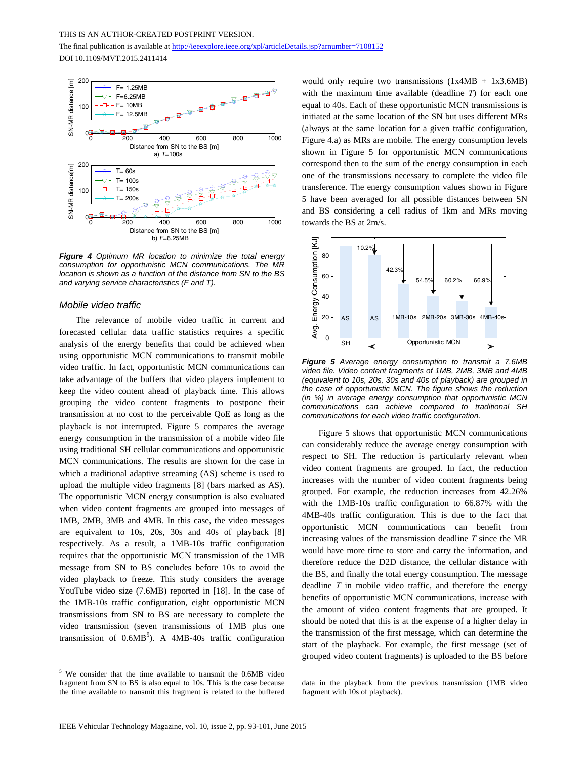The final publication is available at http://ieeexplore.ieee.org/xpl/articleDetails.jsp?arnumber=7108152 DOI 10.1109/MVT.2015.2411414



*Figure 4 Optimum MR location to minimize the total energy consumption for opportunistic MCN communications. The MR location is shown as a function of the distance from SN to the BS and varying service characteristics (F and T).* 

#### *Mobile video traffic*

<u>.</u>

The relevance of mobile video traffic in current and forecasted cellular data traffic statistics requires a specific analysis of the energy benefits that could be achieved when using opportunistic MCN communications to transmit mobile video traffic. In fact, opportunistic MCN communications can take advantage of the buffers that video players implement to keep the video content ahead of playback time. This allows grouping the video content fragments to postpone their transmission at no cost to the perceivable QoE as long as the playback is not interrupted. Figure 5 compares the average energy consumption in the transmission of a mobile video file using traditional SH cellular communications and opportunistic MCN communications. The results are shown for the case in which a traditional adaptive streaming (AS) scheme is used to upload the multiple video fragments [8] (bars marked as AS). The opportunistic MCN energy consumption is also evaluated when video content fragments are grouped into messages of 1MB, 2MB, 3MB and 4MB. In this case, the video messages are equivalent to 10s, 20s, 30s and 40s of playback [8] respectively. As a result, a 1MB-10s traffic configuration requires that the opportunistic MCN transmission of the 1MB message from SN to BS concludes before 10s to avoid the video playback to freeze. This study considers the average YouTube video size (7.6MB) reported in [18]. In the case of the 1MB-10s traffic configuration, eight opportunistic MCN transmissions from SN to BS are necessary to complete the video transmission (seven transmissions of 1MB plus one transmission of  $0.6MB^5$ ). A 4MB-40s traffic configuration would only require two transmissions  $(1x4MB + 1x3.6MB)$ with the maximum time available (deadline *T*) for each one equal to 40s. Each of these opportunistic MCN transmissions is initiated at the same location of the SN but uses different MRs (always at the same location for a given traffic configuration, Figure 4.a) as MRs are mobile. The energy consumption levels shown in Figure 5 for opportunistic MCN communications correspond then to the sum of the energy consumption in each one of the transmissions necessary to complete the video file transference. The energy consumption values shown in Figure 5 have been averaged for all possible distances between SN and BS considering a cell radius of 1km and MRs moving towards the BS at 2m/s.



*Figure 5 Average energy consumption to transmit a 7.6MB video file. Video content fragments of 1MB, 2MB, 3MB and 4MB (equivalent to 10s, 20s, 30s and 40s of playback) are grouped in the case of opportunistic MCN. The figure shows the reduction (in %) in average energy consumption that opportunistic MCN communications can achieve compared to traditional SH communications for each video traffic configuration.* 

Figure 5 shows that opportunistic MCN communications can considerably reduce the average energy consumption with respect to SH. The reduction is particularly relevant when video content fragments are grouped. In fact, the reduction increases with the number of video content fragments being grouped. For example, the reduction increases from 42.26% with the 1MB-10s traffic configuration to 66.87% with the 4MB-40s traffic configuration. This is due to the fact that opportunistic MCN communications can benefit from increasing values of the transmission deadline *T* since the MR would have more time to store and carry the information, and therefore reduce the D2D distance, the cellular distance with the BS, and finally the total energy consumption. The message deadline *T* in mobile video traffic, and therefore the energy benefits of opportunistic MCN communications, increase with the amount of video content fragments that are grouped. It should be noted that this is at the expense of a higher delay in the transmission of the first message, which can determine the start of the playback. For example, the first message (set of grouped video content fragments) is uploaded to the BS before

<sup>&</sup>lt;sup>5</sup> We consider that the time available to transmit the 0.6MB video fragment from SN to BS is also equal to 10s. This is the case because the time available to transmit this fragment is related to the buffered

data in the playback from the previous transmission (1MB video fragment with 10s of playback).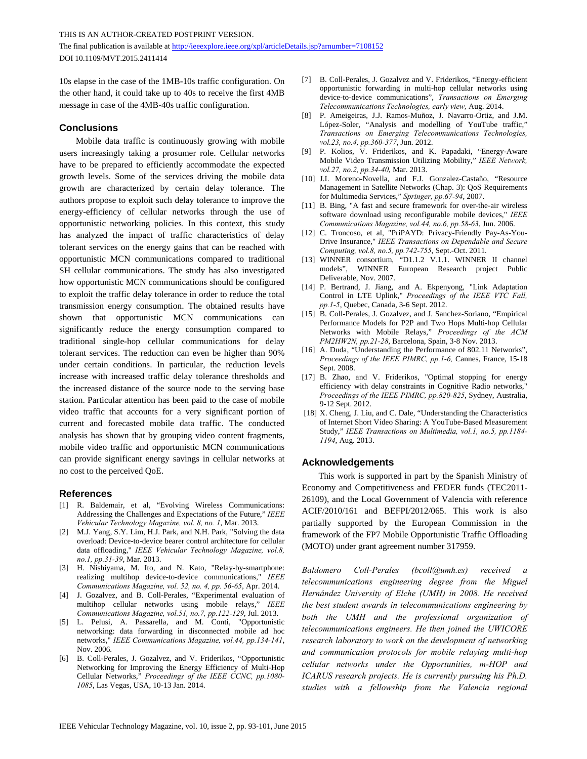THIS IS AN AUTHOR-CREATED POSTPRINT VERSION.

The final publication is available at http://ieeexplore.ieee.org/xpl/articleDetails.jsp?arnumber=7108152 DOI 10.1109/MVT.2015.2411414

10s elapse in the case of the 1MB-10s traffic configuration. On the other hand, it could take up to 40s to receive the first 4MB message in case of the 4MB-40s traffic configuration.

## **Conclusions**

Mobile data traffic is continuously growing with mobile users increasingly taking a prosumer role. Cellular networks have to be prepared to efficiently accommodate the expected growth levels. Some of the services driving the mobile data growth are characterized by certain delay tolerance. The authors propose to exploit such delay tolerance to improve the energy-efficiency of cellular networks through the use of opportunistic networking policies. In this context, this study has analyzed the impact of traffic characteristics of delay tolerant services on the energy gains that can be reached with opportunistic MCN communications compared to traditional SH cellular communications. The study has also investigated how opportunistic MCN communications should be configured to exploit the traffic delay tolerance in order to reduce the total transmission energy consumption. The obtained results have shown that opportunistic MCN communications can significantly reduce the energy consumption compared to traditional single-hop cellular communications for delay tolerant services. The reduction can even be higher than 90% under certain conditions. In particular, the reduction levels increase with increased traffic delay tolerance thresholds and the increased distance of the source node to the serving base station. Particular attention has been paid to the case of mobile video traffic that accounts for a very significant portion of current and forecasted mobile data traffic. The conducted analysis has shown that by grouping video content fragments, mobile video traffic and opportunistic MCN communications can provide significant energy savings in cellular networks at no cost to the perceived QoE.

#### **References**

- [1] R. Baldemair, et al, "Evolving Wireless Communications: Addressing the Challenges and Expectations of the Future," *IEEE Vehicular Technology Magazine, vol. 8, no. 1*, Mar. 2013.
- [2] M.J. Yang, S.Y. Lim, H.J. Park, and N.H. Park, "Solving the data overload: Device-to-device bearer control architecture for cellular data offloading," *IEEE Vehicular Technology Magazine, vol.8, no.1, pp.31-39*, Mar. 2013.
- [3] H. Nishiyama, M. Ito, and N. Kato, "Relay-by-smartphone: realizing multihop device-to-device communications," *IEEE Communications Magazine, vol. 52, no. 4, pp. 56-65*, Apr. 2014.
- [4] J. Gozalvez, and B. Coll-Perales, "Experimental evaluation of multihop cellular networks using mobile relays," *IEEE Communications Magazine, vol.51, no.7, pp.122-129*, Jul. 2013.
- [5] L. Pelusi, A. Passarella, and M. Conti, "Opportunistic networking: data forwarding in disconnected mobile ad hoc networks," *IEEE Communications Magazine, vol.44, pp.134-141*, Nov. 2006.
- [6] B. Coll-Perales, J. Gozalvez, and V. Friderikos, "Opportunistic Networking for Improving the Energy Efficiency of Multi-Hop Cellular Networks," *Proceedings of the IEEE CCNC, pp.1080- 1085*, Las Vegas, USA, 10-13 Jan. 2014.
- [7] B. Coll-Perales, J. Gozalvez and V. Friderikos, "Energy-efficient opportunistic forwarding in multi-hop cellular networks using device-to-device communications", *Transactions on Emerging Telecommunications Technologies, early view,* Aug. 2014.
- [8] P. Ameigeiras, J.J. Ramos-Muñoz, J. Navarro-Ortiz, and J.M. López-Soler, "Analysis and modelling of YouTube traffic," *Transactions on Emerging Telecommunications Technologies, vol.23, no.4, pp.360-377*, Jun. 2012.
- [9] P. Kolios, V. Friderikos, and K. Papadaki, "Energy-Aware Mobile Video Transmission Utilizing Mobility," *IEEE Network, vol.27, no.2, pp.34-40*, Mar. 2013.
- [10] J.I. Moreno-Novella, and F.J. Gonzalez-Castaño, "Resource Management in Satellite Networks (Chap. 3): QoS Requirements for Multimedia Services," *Springer, pp.67-94*, 2007.
- [11] B. Bing, "A fast and secure framework for over-the-air wireless software download using reconfigurable mobile devices," *IEEE Communications Magazine, vol.44, no.6, pp.58-63*, Jun. 2006.
- [12] C. Troncoso, et al, "PriPAYD: Privacy-Friendly Pay-As-You-Drive Insurance," *IEEE Transactions on Dependable and Secure Computing, vol.8, no.5, pp.742-755*, Sept.-Oct. 2011.
- [13] WINNER consortium, "D1.1.2 V.1.1. WINNER II channel models", WINNER European Research project Public Deliverable, Nov. 2007.
- [14] P. Bertrand, J. Jiang, and A. Ekpenyong, "Link Adaptation Control in LTE Uplink," *Proceedings of the IEEE VTC Fall, pp.1-5*, Quebec, Canada, 3-6 Sept. 2012.
- [15] B. Coll-Perales, J. Gozalvez, and J. Sanchez-Soriano, "Empirical Performance Models for P2P and Two Hops Multi-hop Cellular Networks with Mobile Relays," *Proceedings of the ACM PM2HW2N, pp.21-28*, Barcelona, Spain, 3-8 Nov. 2013.
- [16] A. Duda, "Understanding the Performance of 802.11 Networks", *Proceedings of the IEEE PIMRC, pp.1-6,* Cannes, France, 15-18 Sept. 2008.
- [17] B. Zhao, and V. Friderikos, "Optimal stopping for energy efficiency with delay constraints in Cognitive Radio networks," *Proceedings of the IEEE PIMRC, pp.820-825*, Sydney, Australia, 9-12 Sept. 2012.
- [18] X. Cheng, J. Liu, and C. Dale, "Understanding the Characteristics" of Internet Short Video Sharing: A YouTube-Based Measurement Study," *IEEE Transactions on Multimedia, vol.1, no.5, pp.1184- 1194*, Aug. 2013.

### **Acknowledgements**

This work is supported in part by the Spanish Ministry of Economy and Competitiveness and FEDER funds (TEC2011- 26109), and the Local Government of Valencia with reference ACIF/2010/161 and BEFPI/2012/065. This work is also partially supported by the European Commission in the framework of the FP7 Mobile Opportunistic Traffic Offloading (MOTO) under grant agreement number 317959.

*Baldomero Coll-Perales (bcoll@umh.es) received a telecommunications engineering degree from the Miguel Hernández University of Elche (UMH) in 2008. He received the best student awards in telecommunications engineering by both the UMH and the professional organization of telecommunications engineers. He then joined the UWICORE research laboratory to work on the development of networking and communication protocols for mobile relaying multi-hop cellular networks under the Opportunities, m-HOP and ICARUS research projects. He is currently pursuing his Ph.D. studies with a fellowship from the Valencia regional*